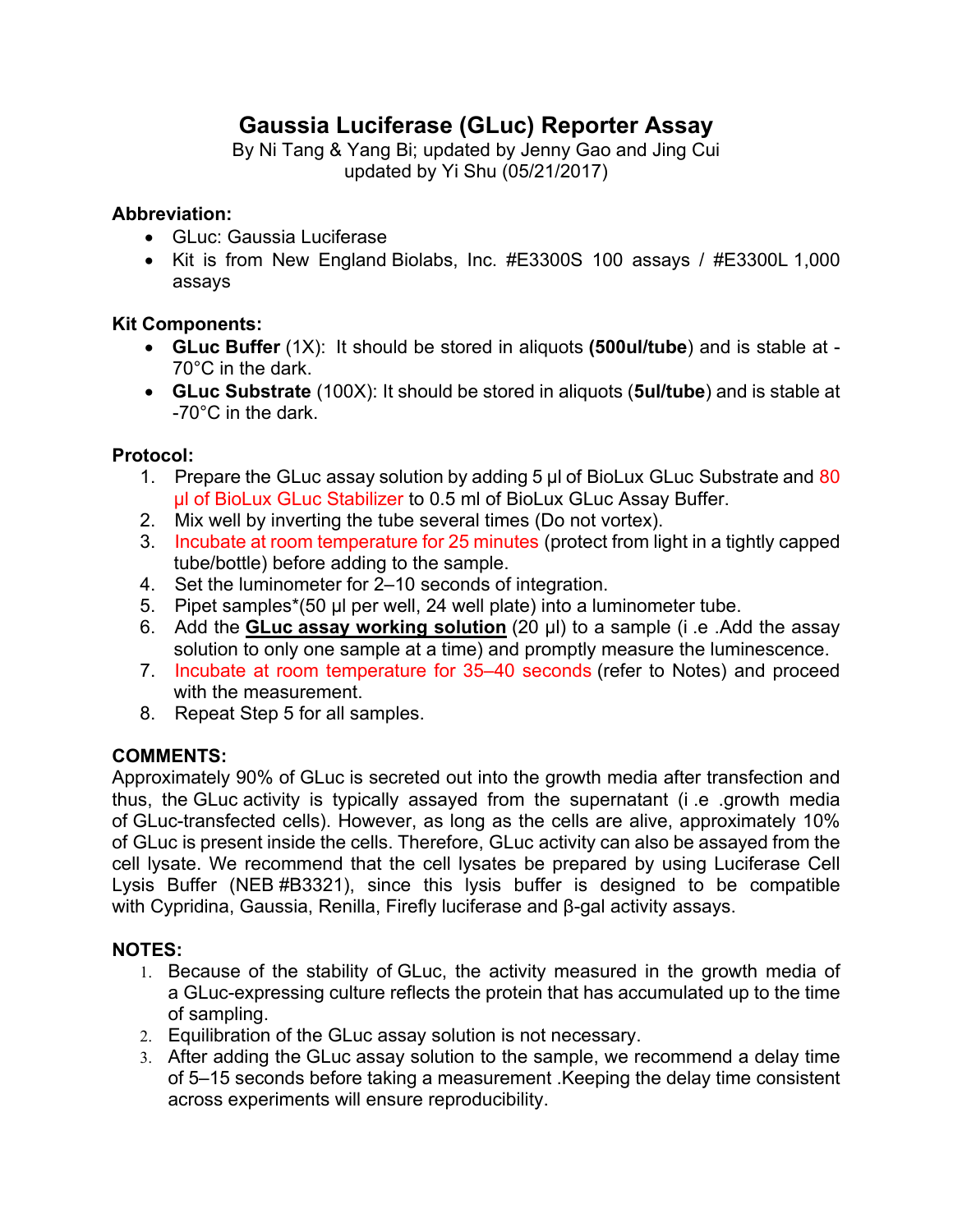# **Gaussia Luciferase (GLuc) Reporter Assay**

By Ni Tang & Yang Bi; updated by Jenny Gao and Jing Cui updated by Yi Shu (05/21/2017)

## **Abbreviation:**

- GLuc: Gaussia Luciferase
- Kit is from New England Biolabs, Inc. #E3300S 100 assays / #E3300L 1,000 assays

## **Kit Components:**

- **GLuc Buffer** (1X): It should be stored in aliquots **(500ul/tube**) and is stable at 70°C in the dark.
- **GLuc Substrate** (100X): It should be stored in aliquots (**5ul/tube**) and is stable at -70°C in the dark.

## **Protocol:**

- 1. Prepare the GLuc assay solution by adding 5 µl of BioLux GLuc Substrate and 80 µl of BioLux GLuc Stabilizer to 0.5 ml of BioLux GLuc Assay Buffer.
- 2. Mix well by inverting the tube several times (Do not vortex).
- 3. Incubate at room temperature for 25 minutes (protect from light in a tightly capped tube/bottle) before adding to the sample.
- 4. Set the luminometer for 2–10 seconds of integration.
- 5. Pipet samples\*(50 µl per well, 24 well plate) into a luminometer tube.
- 6. Add the **GLuc assay working solution** (20 µl) to a sample (i .e .Add the assay solution to only one sample at a time) and promptly measure the luminescence.
- 7. Incubate at room temperature for 35–40 seconds (refer to Notes) and proceed with the measurement.
- 8. Repeat Step 5 for all samples.

## **COMMENTS:**

Approximately 90% of GLuc is secreted out into the growth media after transfection and thus, the GLuc activity is typically assayed from the supernatant (i .e .growth media of GLuc-transfected cells). However, as long as the cells are alive, approximately 10% of GLuc is present inside the cells. Therefore, GLuc activity can also be assayed from the cell lysate. We recommend that the cell lysates be prepared by using Luciferase Cell Lysis Buffer (NEB #B3321), since this lysis buffer is designed to be compatible with Cypridina, Gaussia, Renilla, Firefly luciferase and β-gal activity assays.

### **NOTES:**

- 1. Because of the stability of GLuc, the activity measured in the growth media of a GLuc-expressing culture reflects the protein that has accumulated up to the time of sampling.
- 2. Equilibration of the GLuc assay solution is not necessary.
- 3. After adding the GLuc assay solution to the sample, we recommend a delay time of 5–15 seconds before taking a measurement .Keeping the delay time consistent across experiments will ensure reproducibility.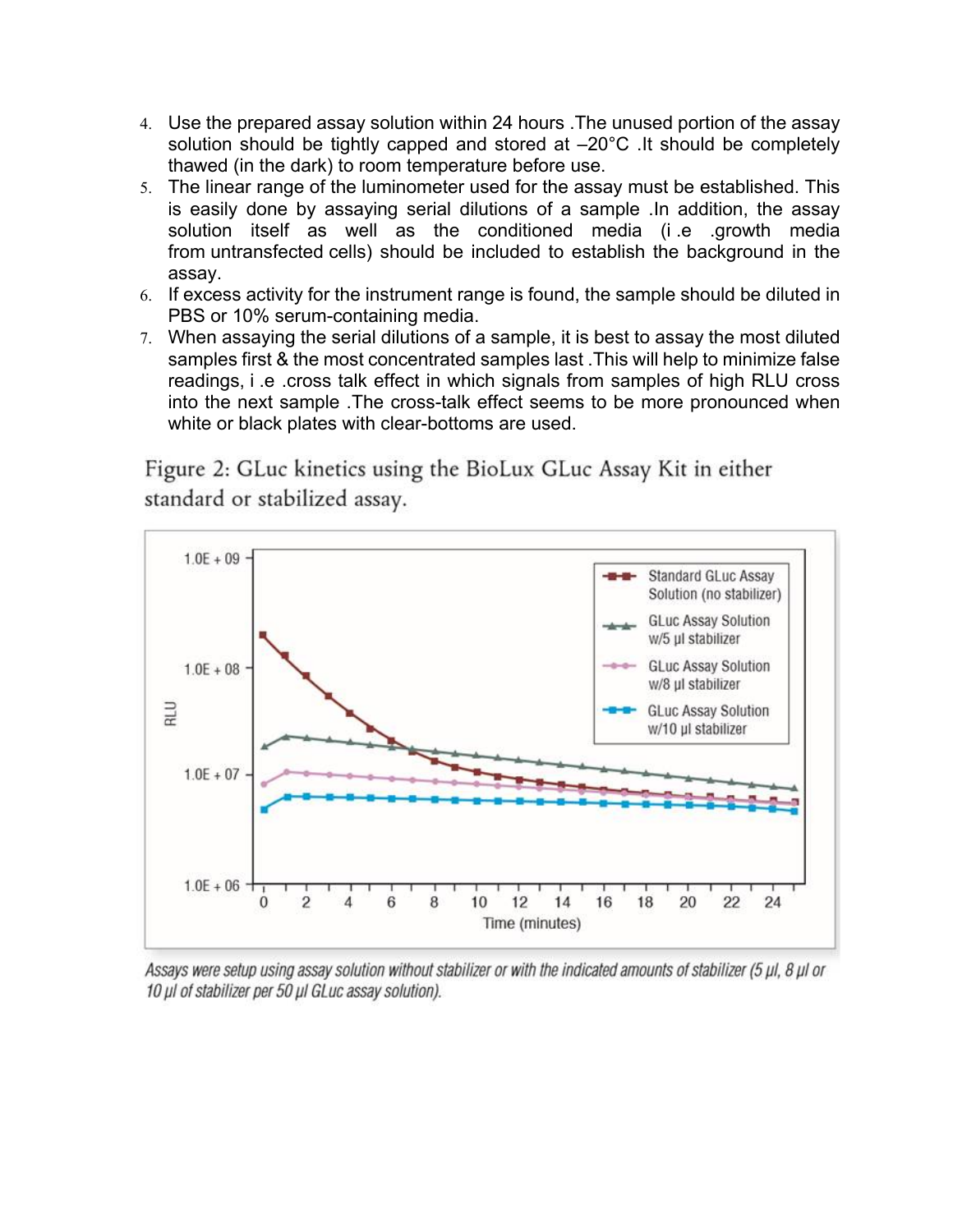- 4. Use the prepared assay solution within 24 hours .The unused portion of the assay solution should be tightly capped and stored at  $-20^{\circ}$ C. It should be completely thawed (in the dark) to room temperature before use.
- 5. The linear range of the luminometer used for the assay must be established. This is easily done by assaying serial dilutions of a sample .In addition, the assay solution itself as well as the conditioned media (i .e .growth media from untransfected cells) should be included to establish the background in the assay.
- 6. If excess activity for the instrument range is found, the sample should be diluted in PBS or 10% serum-containing media.
- 7. When assaying the serial dilutions of a sample, it is best to assay the most diluted samples first & the most concentrated samples last .This will help to minimize false readings, i .e .cross talk effect in which signals from samples of high RLU cross into the next sample .The cross-talk effect seems to be more pronounced when white or black plates with clear-bottoms are used.

Figure 2: GLuc kinetics using the BioLux GLuc Assay Kit in either standard or stabilized assay.



Assays were setup using assay solution without stabilizer or with the indicated amounts of stabilizer (5 µl, 8 µl or 10 µl of stabilizer per 50 µl GLuc assay solution).